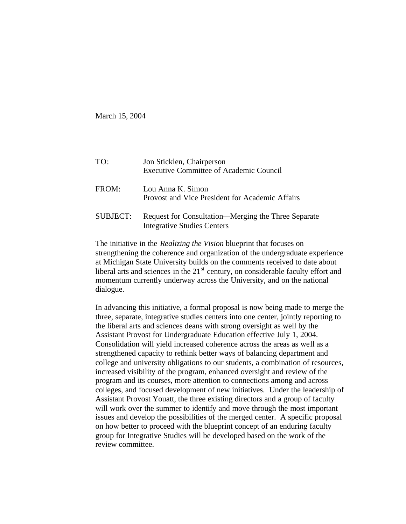March 15, 2004

| TO:             | Jon Sticklen, Chairperson<br><b>Executive Committee of Academic Council</b>               |
|-----------------|-------------------------------------------------------------------------------------------|
| FROM:           | Lou Anna K. Simon<br>Provost and Vice President for Academic Affairs                      |
| <b>SUBJECT:</b> | Request for Consultation—Merging the Three Separate<br><b>Integrative Studies Centers</b> |

The initiative in the *Realizing the Vision* blueprint that focuses on strengthening the coherence and organization of the undergraduate experience at Michigan State University builds on the comments received to date about liberal arts and sciences in the  $21<sup>st</sup>$  century, on considerable faculty effort and momentum currently underway across the University, and on the national dialogue.

In advancing this initiative, a formal proposal is now being made to merge the three, separate, integrative studies centers into one center, jointly reporting to the liberal arts and sciences deans with strong oversight as well by the Assistant Provost for Undergraduate Education effective July 1, 2004. Consolidation will yield increased coherence across the areas as well as a strengthened capacity to rethink better ways of balancing department and college and university obligations to our students, a combination of resources, increased visibility of the program, enhanced oversight and review of the program and its courses, more attention to connections among and across colleges, and focused development of new initiatives. Under the leadership of Assistant Provost Youatt, the three existing directors and a group of faculty will work over the summer to identify and move through the most important issues and develop the possibilities of the merged center. A specific proposal on how better to proceed with the blueprint concept of an enduring faculty group for Integrative Studies will be developed based on the work of the review committee.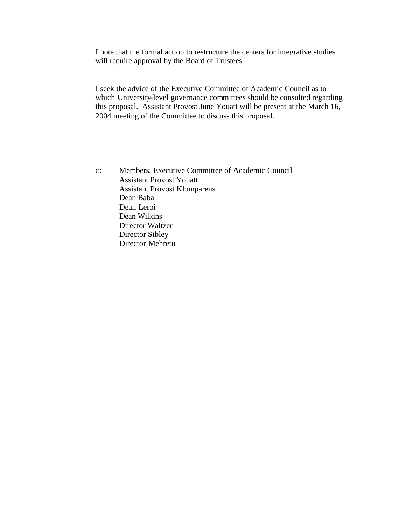I note that the formal action to restructure the centers for integrative studies will require approval by the Board of Trustees.

I seek the advice of the Executive Committee of Academic Council as to which University-level governance committees should be consulted regarding this proposal. Assistant Provost June Youatt will be present at the March 16, 2004 meeting of the Committee to discuss this proposal.

c: Members, Executive Committee of Academic Council Assistant Provost Youatt Assistant Provost Klomparens Dean Baba Dean Leroi Dean Wilkins Director Waltzer Director Sibley Director Mehretu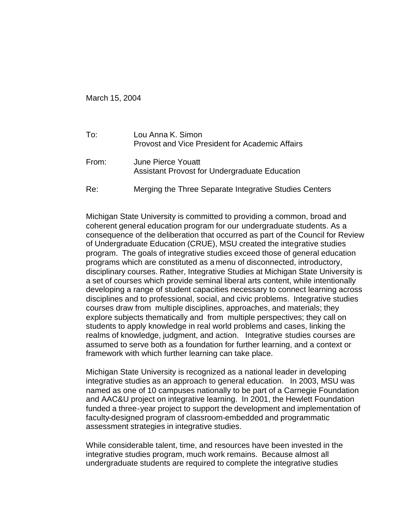March 15, 2004

| To:   | Lou Anna K. Simon<br><b>Provost and Vice President for Academic Affairs</b> |
|-------|-----------------------------------------------------------------------------|
| From: | June Pierce Youatt<br>Assistant Provost for Undergraduate Education         |
| Re:   | Merging the Three Separate Integrative Studies Centers                      |

Michigan State University is committed to providing a common, broad and coherent general education program for our undergraduate students. As a consequence of the deliberation that occurred as part of the Council for Review of Undergraduate Education (CRUE), MSU created the integrative studies program. The goals of integrative studies exceed those of general education programs which are constituted as a menu of disconnected, introductory, disciplinary courses. Rather, Integrative Studies at Michigan State University is a set of courses which provide seminal liberal arts content, while intentionally developing a range of student capacities necessary to connect learning across disciplines and to professional, social, and civic problems. Integrative studies courses draw from multiple disciplines, approaches, and materials; they explore subjects thematically and from multiple perspectives; they call on students to apply knowledge in real world problems and cases, linking the realms of knowledge, judgment, and action. Integrative studies courses are assumed to serve both as a foundation for further learning, and a context or framework with which further learning can take place.

Michigan State University is recognized as a national leader in developing integrative studies as an approach to general education. In 2003, MSU was named as one of 10 campuses nationally to be part of a Carnegie Foundation and AAC&U project on integrative learning. In 2001, the Hewlett Foundation funded a three-year project to support the development and implementation of faculty-designed program of classroom-embedded and programmatic assessment strategies in integrative studies.

While considerable talent, time, and resources have been invested in the integrative studies program, much work remains. Because almost all undergraduate students are required to complete the integrative studies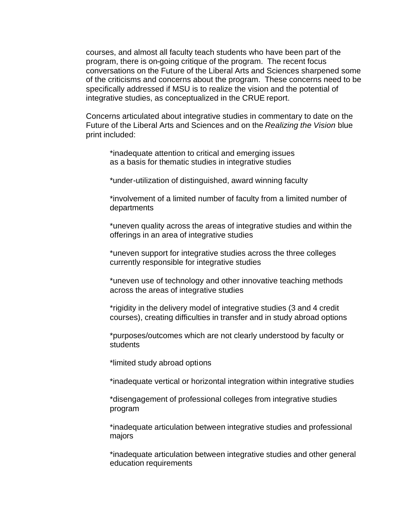courses, and almost all faculty teach students who have been part of the program, there is on-going critique of the program. The recent focus conversations on the Future of the Liberal Arts and Sciences sharpened some of the criticisms and concerns about the program. These concerns need to be specifically addressed if MSU is to realize the vision and the potential of integrative studies, as conceptualized in the CRUE report.

Concerns articulated about integrative studies in commentary to date on the Future of the Liberal Arts and Sciences and on the *Realizing the Vision* blue print included:

\*inadequate attention to critical and emerging issues as a basis for thematic studies in integrative studies

\*under-utilization of distinguished, award winning faculty

\*involvement of a limited number of faculty from a limited number of departments

\*uneven quality across the areas of integrative studies and within the offerings in an area of integrative studies

\*uneven support for integrative studies across the three colleges currently responsible for integrative studies

\*uneven use of technology and other innovative teaching methods across the areas of integrative studies

\*rigidity in the delivery model of integrative studies (3 and 4 credit courses), creating difficulties in transfer and in study abroad options

\*purposes/outcomes which are not clearly understood by faculty or students

\*limited study abroad options

\*inadequate vertical or horizontal integration within integrative studies

\*disengagement of professional colleges from integrative studies program

\*inadequate articulation between integrative studies and professional majors

\*inadequate articulation between integrative studies and other general education requirements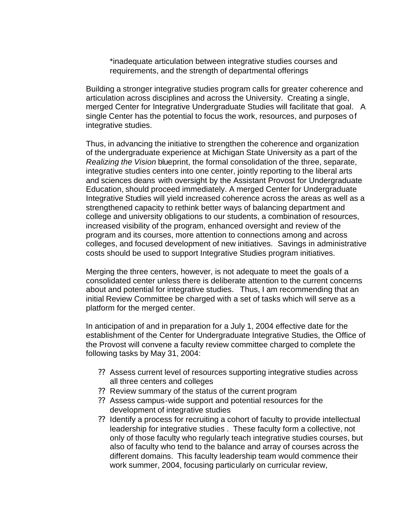\*inadequate articulation between integrative studies courses and requirements, and the strength of departmental offerings

Building a stronger integrative studies program calls for greater coherence and articulation across disciplines and across the University. Creating a single, merged Center for Integrative Undergraduate Studies will facilitate that goal. A single Center has the potential to focus the work, resources, and purposes of integrative studies.

Thus, in advancing the initiative to strengthen the coherence and organization of the undergraduate experience at Michigan State University as a part of the *Realizing the Vision* blueprint, the formal consolidation of the three, separate, integrative studies centers into one center, jointly reporting to the liberal arts and sciences deans with oversight by the Assistant Provost for Undergraduate Education, should proceed immediately. A merged Center for Undergraduate Integrative Studies will yield increased coherence across the areas as well as a strengthened capacity to rethink better ways of balancing department and college and university obligations to our students, a combination of resources, increased visibility of the program, enhanced oversight and review of the program and its courses, more attention to connections among and across colleges, and focused development of new initiatives. Savings in administrative costs should be used to support Integrative Studies program initiatives.

Merging the three centers, however, is not adequate to meet the goals of a consolidated center unless there is deliberate attention to the current concerns about and potential for integrative studies. Thus, I am recommending that an initial Review Committee be charged with a set of tasks which will serve as a platform for the merged center.

In anticipation of and in preparation for a July 1, 2004 effective date for the establishment of the Center for Undergraduate Integrative Studies, the Office of the Provost will convene a faculty review committee charged to complete the following tasks by May 31, 2004:

- ?? Assess current level of resources supporting integrative studies across all three centers and colleges
- ?? Review summary of the status of the current program
- ?? Assess campus-wide support and potential resources for the development of integrative studies
- ?? Identify a process for recruiting a cohort of faculty to provide intellectual leadership for integrative studies . These faculty form a collective, not only of those faculty who regularly teach integrative studies courses, but also of faculty who tend to the balance and array of courses across the different domains. This faculty leadership team would commence their work summer, 2004, focusing particularly on curricular review,